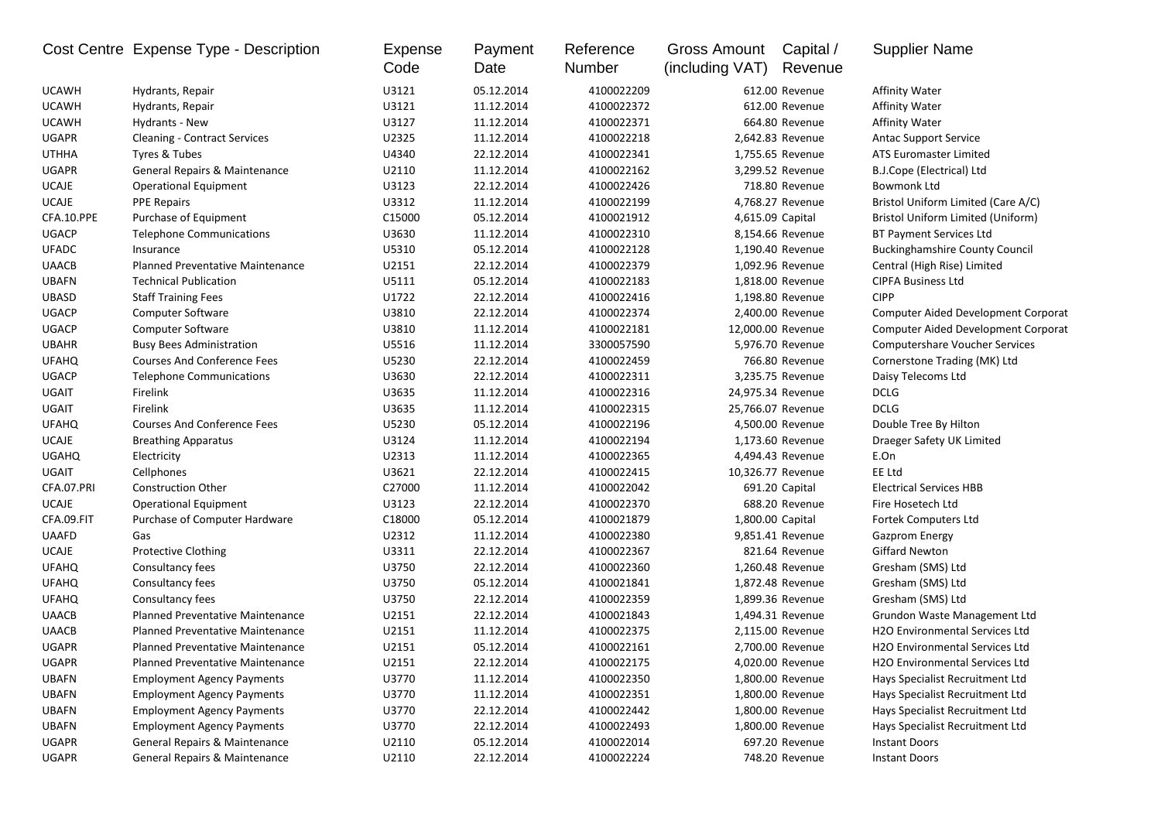|              | Cost Centre Expense Type - Description  | <b>Expense</b><br>Code | Payment<br>Date | Reference<br>Number | <b>Gross Amount</b><br>(including VAT) | Capital /<br>Revenue | <b>Supplier Name</b>                       |
|--------------|-----------------------------------------|------------------------|-----------------|---------------------|----------------------------------------|----------------------|--------------------------------------------|
| <b>UCAWH</b> | Hydrants, Repair                        | U3121                  | 05.12.2014      | 4100022209          |                                        | 612.00 Revenue       | Affinity Water                             |
| <b>UCAWH</b> | Hydrants, Repair                        | U3121                  | 11.12.2014      | 4100022372          |                                        | 612.00 Revenue       | <b>Affinity Water</b>                      |
| <b>UCAWH</b> | Hydrants - New                          | U3127                  | 11.12.2014      | 4100022371          |                                        | 664.80 Revenue       | Affinity Water                             |
| <b>UGAPR</b> | <b>Cleaning - Contract Services</b>     | U2325                  | 11.12.2014      | 4100022218          |                                        | 2,642.83 Revenue     | <b>Antac Support Service</b>               |
| <b>UTHHA</b> | Tyres & Tubes                           | U4340                  | 22.12.2014      | 4100022341          |                                        | 1,755.65 Revenue     | ATS Euromaster Limited                     |
| <b>UGAPR</b> | General Repairs & Maintenance           | U2110                  | 11.12.2014      | 4100022162          |                                        | 3,299.52 Revenue     | B.J.Cope (Electrical) Ltd                  |
| <b>UCAJE</b> | <b>Operational Equipment</b>            | U3123                  | 22.12.2014      | 4100022426          |                                        | 718.80 Revenue       | <b>Bowmonk Ltd</b>                         |
| <b>UCAJE</b> | <b>PPE Repairs</b>                      | U3312                  | 11.12.2014      | 4100022199          |                                        | 4,768.27 Revenue     | Bristol Uniform Limited (Care A/C)         |
| CFA.10.PPE   | Purchase of Equipment                   | C15000                 | 05.12.2014      | 4100021912          | 4,615.09 Capital                       |                      | Bristol Uniform Limited (Uniform)          |
| <b>UGACP</b> | <b>Telephone Communications</b>         | U3630                  | 11.12.2014      | 4100022310          |                                        | 8,154.66 Revenue     | <b>BT Payment Services Ltd</b>             |
| <b>UFADC</b> | Insurance                               | U5310                  | 05.12.2014      | 4100022128          |                                        | 1,190.40 Revenue     | <b>Buckinghamshire County Council</b>      |
| <b>UAACB</b> | <b>Planned Preventative Maintenance</b> | U2151                  | 22.12.2014      | 4100022379          |                                        | 1,092.96 Revenue     | Central (High Rise) Limited                |
| <b>UBAFN</b> | <b>Technical Publication</b>            | U5111                  | 05.12.2014      | 4100022183          |                                        | 1,818.00 Revenue     | <b>CIPFA Business Ltd</b>                  |
| <b>UBASD</b> | <b>Staff Training Fees</b>              | U1722                  | 22.12.2014      | 4100022416          |                                        | 1,198.80 Revenue     | <b>CIPP</b>                                |
| <b>UGACP</b> | <b>Computer Software</b>                | U3810                  | 22.12.2014      | 4100022374          |                                        | 2,400.00 Revenue     | <b>Computer Aided Development Corporat</b> |
| <b>UGACP</b> | <b>Computer Software</b>                | U3810                  | 11.12.2014      | 4100022181          | 12,000.00 Revenue                      |                      | Computer Aided Development Corporat        |
| <b>UBAHR</b> | <b>Busy Bees Administration</b>         | U5516                  | 11.12.2014      | 3300057590          |                                        | 5,976.70 Revenue     | <b>Computershare Voucher Services</b>      |
| <b>UFAHQ</b> | <b>Courses And Conference Fees</b>      | U5230                  | 22.12.2014      | 4100022459          |                                        | 766.80 Revenue       | Cornerstone Trading (MK) Ltd               |
| <b>UGACP</b> | <b>Telephone Communications</b>         | U3630                  | 22.12.2014      | 4100022311          |                                        | 3,235.75 Revenue     | Daisy Telecoms Ltd                         |
| <b>UGAIT</b> | Firelink                                | U3635                  | 11.12.2014      | 4100022316          | 24,975.34 Revenue                      |                      | <b>DCLG</b>                                |
| <b>UGAIT</b> | Firelink                                | U3635                  | 11.12.2014      | 4100022315          | 25,766.07 Revenue                      |                      | <b>DCLG</b>                                |
| <b>UFAHQ</b> | <b>Courses And Conference Fees</b>      | U5230                  | 05.12.2014      | 4100022196          |                                        | 4,500.00 Revenue     | Double Tree By Hilton                      |
| UCAJE        | <b>Breathing Apparatus</b>              | U3124                  | 11.12.2014      | 4100022194          |                                        | 1,173.60 Revenue     | Draeger Safety UK Limited                  |
| <b>UGAHQ</b> | Electricity                             | U2313                  | 11.12.2014      | 4100022365          |                                        | 4,494.43 Revenue     | E.On                                       |
| <b>UGAIT</b> | Cellphones                              | U3621                  | 22.12.2014      | 4100022415          | 10,326.77 Revenue                      |                      | EE Ltd                                     |
| CFA.07.PRI   | <b>Construction Other</b>               | C27000                 | 11.12.2014      | 4100022042          |                                        | 691.20 Capital       | <b>Electrical Services HBB</b>             |
| <b>UCAJE</b> | <b>Operational Equipment</b>            | U3123                  | 22.12.2014      | 4100022370          |                                        | 688.20 Revenue       | Fire Hosetech Ltd                          |
| CFA.09.FIT   | Purchase of Computer Hardware           | C18000                 | 05.12.2014      | 4100021879          | 1,800.00 Capital                       |                      | Fortek Computers Ltd                       |
| <b>UAAFD</b> | Gas                                     | U2312                  | 11.12.2014      | 4100022380          |                                        | 9,851.41 Revenue     | <b>Gazprom Energy</b>                      |
| <b>UCAJE</b> | <b>Protective Clothing</b>              | U3311                  | 22.12.2014      | 4100022367          |                                        | 821.64 Revenue       | <b>Giffard Newton</b>                      |
| <b>UFAHQ</b> | Consultancy fees                        | U3750                  | 22.12.2014      | 4100022360          |                                        | 1,260.48 Revenue     | Gresham (SMS) Ltd                          |
| <b>UFAHQ</b> | Consultancy fees                        | U3750                  | 05.12.2014      | 4100021841          |                                        | 1,872.48 Revenue     | Gresham (SMS) Ltd                          |
| <b>UFAHQ</b> | Consultancy fees                        | U3750                  | 22.12.2014      | 4100022359          |                                        | 1,899.36 Revenue     | Gresham (SMS) Ltd                          |
| <b>UAACB</b> | Planned Preventative Maintenance        | U2151                  | 22.12.2014      | 4100021843          |                                        | 1,494.31 Revenue     | Grundon Waste Management Ltd               |
| <b>UAACB</b> | <b>Planned Preventative Maintenance</b> | U2151                  | 11.12.2014      | 4100022375          |                                        | 2,115.00 Revenue     | <b>H2O Environmental Services Ltd</b>      |
| <b>UGAPR</b> | <b>Planned Preventative Maintenance</b> | U2151                  | 05.12.2014      | 4100022161          |                                        | 2,700.00 Revenue     | H2O Environmental Services Ltd             |
| UGAPR        | Planned Preventative Maintenance        | U2151                  | 22.12.2014      | 4100022175          |                                        | 4,020.00 Revenue     | H2O Environmental Services Ltd             |
| <b>UBAFN</b> | <b>Employment Agency Payments</b>       | U3770                  | 11.12.2014      | 4100022350          |                                        | 1,800.00 Revenue     | Hays Specialist Recruitment Ltd            |
| <b>UBAFN</b> | <b>Employment Agency Payments</b>       | U3770                  | 11.12.2014      | 4100022351          |                                        | 1,800.00 Revenue     | Hays Specialist Recruitment Ltd            |
| <b>UBAFN</b> | <b>Employment Agency Payments</b>       | U3770                  | 22.12.2014      | 4100022442          |                                        | 1,800.00 Revenue     | Hays Specialist Recruitment Ltd            |
| <b>UBAFN</b> | <b>Employment Agency Payments</b>       | U3770                  | 22.12.2014      | 4100022493          |                                        | 1,800.00 Revenue     | Hays Specialist Recruitment Ltd            |
| UGAPR        | General Repairs & Maintenance           | U2110                  | 05.12.2014      | 4100022014          |                                        | 697.20 Revenue       | <b>Instant Doors</b>                       |
| UGAPR        | General Repairs & Maintenance           | U2110                  | 22.12.2014      | 4100022224          |                                        | 748.20 Revenue       | <b>Instant Doors</b>                       |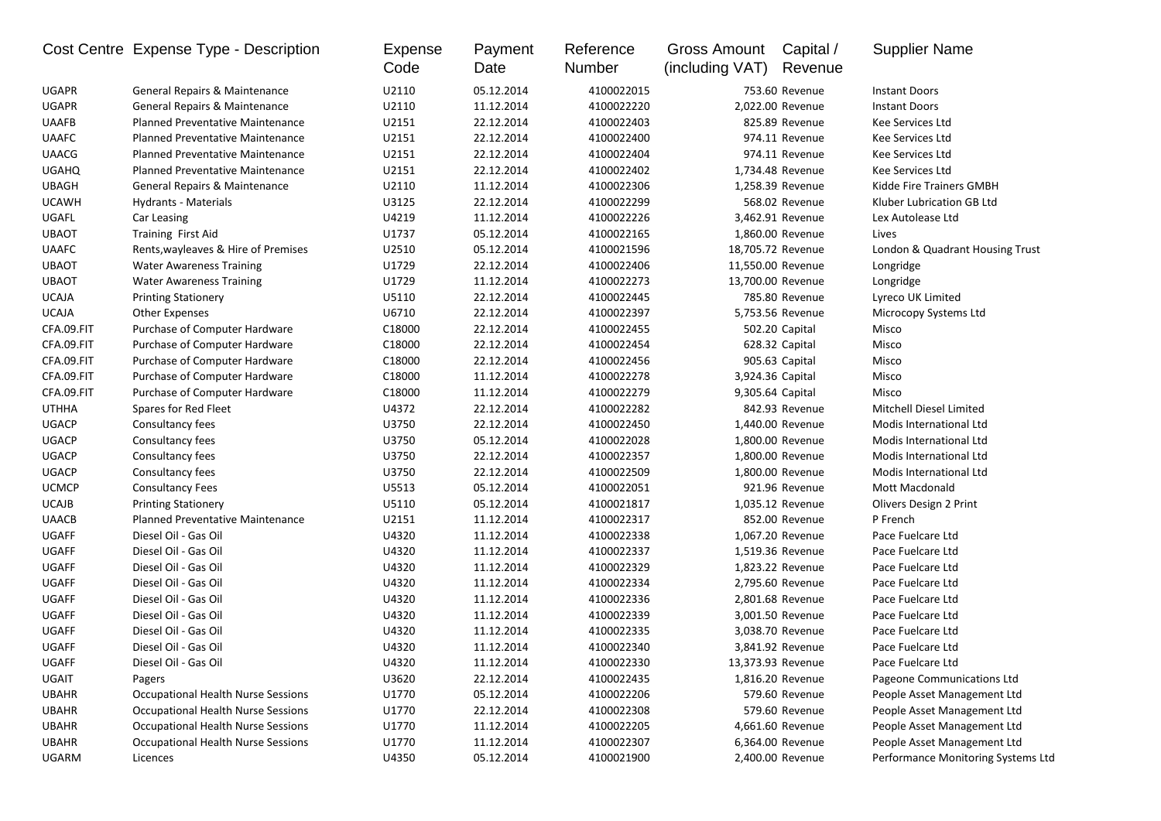|              | Cost Centre Expense Type - Description    | Expense<br>Code | Payment<br>Date | Reference<br>Number | <b>Gross Amount</b><br>(including VAT) | Capital /<br>Revenue | <b>Supplier Name</b>               |
|--------------|-------------------------------------------|-----------------|-----------------|---------------------|----------------------------------------|----------------------|------------------------------------|
| <b>UGAPR</b> | General Repairs & Maintenance             | U2110           | 05.12.2014      | 4100022015          |                                        | 753.60 Revenue       | <b>Instant Doors</b>               |
| <b>UGAPR</b> | General Repairs & Maintenance             | U2110           | 11.12.2014      | 4100022220          |                                        | 2,022.00 Revenue     | <b>Instant Doors</b>               |
| <b>UAAFB</b> | <b>Planned Preventative Maintenance</b>   | U2151           | 22.12.2014      | 4100022403          |                                        | 825.89 Revenue       | <b>Kee Services Ltd</b>            |
| <b>UAAFC</b> | <b>Planned Preventative Maintenance</b>   | U2151           | 22.12.2014      | 4100022400          |                                        | 974.11 Revenue       | Kee Services Ltd                   |
| <b>UAACG</b> | <b>Planned Preventative Maintenance</b>   | U2151           | 22.12.2014      | 4100022404          |                                        | 974.11 Revenue       | Kee Services Ltd                   |
| <b>UGAHQ</b> | <b>Planned Preventative Maintenance</b>   | U2151           | 22.12.2014      | 4100022402          |                                        | 1,734.48 Revenue     | Kee Services Ltd                   |
| <b>UBAGH</b> | General Repairs & Maintenance             | U2110           | 11.12.2014      | 4100022306          |                                        | 1,258.39 Revenue     | Kidde Fire Trainers GMBH           |
| <b>UCAWH</b> | Hydrants - Materials                      | U3125           | 22.12.2014      | 4100022299          |                                        | 568.02 Revenue       | Kluber Lubrication GB Ltd          |
| UGAFL        | Car Leasing                               | U4219           | 11.12.2014      | 4100022226          |                                        | 3,462.91 Revenue     | Lex Autolease Ltd                  |
| <b>UBAOT</b> | Training First Aid                        | U1737           | 05.12.2014      | 4100022165          |                                        | 1,860.00 Revenue     | Lives                              |
| <b>UAAFC</b> | Rents, wayleaves & Hire of Premises       | U2510           | 05.12.2014      | 4100021596          | 18,705.72 Revenue                      |                      | London & Quadrant Housing Trust    |
| <b>UBAOT</b> | <b>Water Awareness Training</b>           | U1729           | 22.12.2014      | 4100022406          | 11,550.00 Revenue                      |                      | Longridge                          |
| <b>UBAOT</b> | <b>Water Awareness Training</b>           | U1729           | 11.12.2014      | 4100022273          | 13,700.00 Revenue                      |                      | Longridge                          |
| <b>UCAJA</b> | <b>Printing Stationery</b>                | U5110           | 22.12.2014      | 4100022445          |                                        | 785.80 Revenue       | Lyreco UK Limited                  |
| <b>UCAJA</b> | <b>Other Expenses</b>                     | U6710           | 22.12.2014      | 4100022397          |                                        | 5,753.56 Revenue     | Microcopy Systems Ltd              |
| CFA.09.FIT   | Purchase of Computer Hardware             | C18000          | 22.12.2014      | 4100022455          |                                        | 502.20 Capital       | Misco                              |
| CFA.09.FIT   | Purchase of Computer Hardware             | C18000          | 22.12.2014      | 4100022454          |                                        | 628.32 Capital       | Misco                              |
| CFA.09.FIT   | Purchase of Computer Hardware             | C18000          | 22.12.2014      | 4100022456          |                                        | 905.63 Capital       | Misco                              |
| CFA.09.FIT   | Purchase of Computer Hardware             | C18000          | 11.12.2014      | 4100022278          | 3,924.36 Capital                       |                      | Misco                              |
| CFA.09.FIT   | Purchase of Computer Hardware             | C18000          | 11.12.2014      | 4100022279          | 9,305.64 Capital                       |                      | Misco                              |
| <b>UTHHA</b> | Spares for Red Fleet                      | U4372           | 22.12.2014      | 4100022282          |                                        | 842.93 Revenue       | Mitchell Diesel Limited            |
| <b>UGACP</b> | Consultancy fees                          | U3750           | 22.12.2014      | 4100022450          |                                        | 1,440.00 Revenue     | Modis International Ltd            |
| <b>UGACP</b> | Consultancy fees                          | U3750           | 05.12.2014      | 4100022028          |                                        | 1,800.00 Revenue     | Modis International Ltd            |
| <b>UGACP</b> | Consultancy fees                          | U3750           | 22.12.2014      | 4100022357          |                                        | 1,800.00 Revenue     | Modis International Ltd            |
| <b>UGACP</b> | Consultancy fees                          | U3750           | 22.12.2014      | 4100022509          |                                        | 1,800.00 Revenue     | Modis International Ltd            |
| <b>UCMCP</b> | <b>Consultancy Fees</b>                   | U5513           | 05.12.2014      | 4100022051          |                                        | 921.96 Revenue       | Mott Macdonald                     |
| <b>UCAJB</b> | <b>Printing Stationery</b>                | U5110           | 05.12.2014      | 4100021817          |                                        | 1,035.12 Revenue     | Olivers Design 2 Print             |
| <b>UAACB</b> | Planned Preventative Maintenance          | U2151           | 11.12.2014      | 4100022317          |                                        | 852.00 Revenue       | P French                           |
| <b>UGAFF</b> | Diesel Oil - Gas Oil                      | U4320           | 11.12.2014      | 4100022338          |                                        | 1,067.20 Revenue     | Pace Fuelcare Ltd                  |
| <b>UGAFF</b> | Diesel Oil - Gas Oil                      | U4320           | 11.12.2014      | 4100022337          |                                        | 1,519.36 Revenue     | Pace Fuelcare Ltd                  |
| <b>UGAFF</b> | Diesel Oil - Gas Oil                      | U4320           | 11.12.2014      | 4100022329          |                                        | 1,823.22 Revenue     | Pace Fuelcare Ltd                  |
| <b>UGAFF</b> | Diesel Oil - Gas Oil                      | U4320           | 11.12.2014      | 4100022334          |                                        | 2,795.60 Revenue     | Pace Fuelcare Ltd                  |
| UGAFF        | Diesel Oil - Gas Oil                      | U4320           | 11.12.2014      | 4100022336          |                                        | 2,801.68 Revenue     | Pace Fuelcare Ltd                  |
| UGAFF        | Diesel Oil - Gas Oil                      | U4320           | 11.12.2014      | 4100022339          |                                        | 3,001.50 Revenue     | Pace Fuelcare Ltd                  |
| <b>UGAFF</b> | Diesel Oil - Gas Oil                      | U4320           | 11.12.2014      | 4100022335          |                                        | 3,038.70 Revenue     | Pace Fuelcare Ltd                  |
| <b>UGAFF</b> | Diesel Oil - Gas Oil                      | U4320           | 11.12.2014      | 4100022340          |                                        | 3,841.92 Revenue     | Pace Fuelcare Ltd                  |
| UGAFF        | Diesel Oil - Gas Oil                      | U4320           | 11.12.2014      | 4100022330          | 13,373.93 Revenue                      |                      | Pace Fuelcare Ltd                  |
| UGAIT        | Pagers                                    | U3620           | 22.12.2014      | 4100022435          |                                        | 1,816.20 Revenue     | Pageone Communications Ltd         |
| <b>UBAHR</b> | <b>Occupational Health Nurse Sessions</b> | U1770           | 05.12.2014      | 4100022206          |                                        | 579.60 Revenue       | People Asset Management Ltd        |
| UBAHR        | <b>Occupational Health Nurse Sessions</b> | U1770           | 22.12.2014      | 4100022308          |                                        | 579.60 Revenue       | People Asset Management Ltd        |
| <b>UBAHR</b> | <b>Occupational Health Nurse Sessions</b> | U1770           | 11.12.2014      | 4100022205          |                                        | 4,661.60 Revenue     | People Asset Management Ltd        |
| UBAHR        | <b>Occupational Health Nurse Sessions</b> | U1770           | 11.12.2014      | 4100022307          |                                        | 6,364.00 Revenue     | People Asset Management Ltd        |
| <b>UGARM</b> | Licences                                  | U4350           | 05.12.2014      | 4100021900          |                                        | 2,400.00 Revenue     | Performance Monitoring Systems Ltd |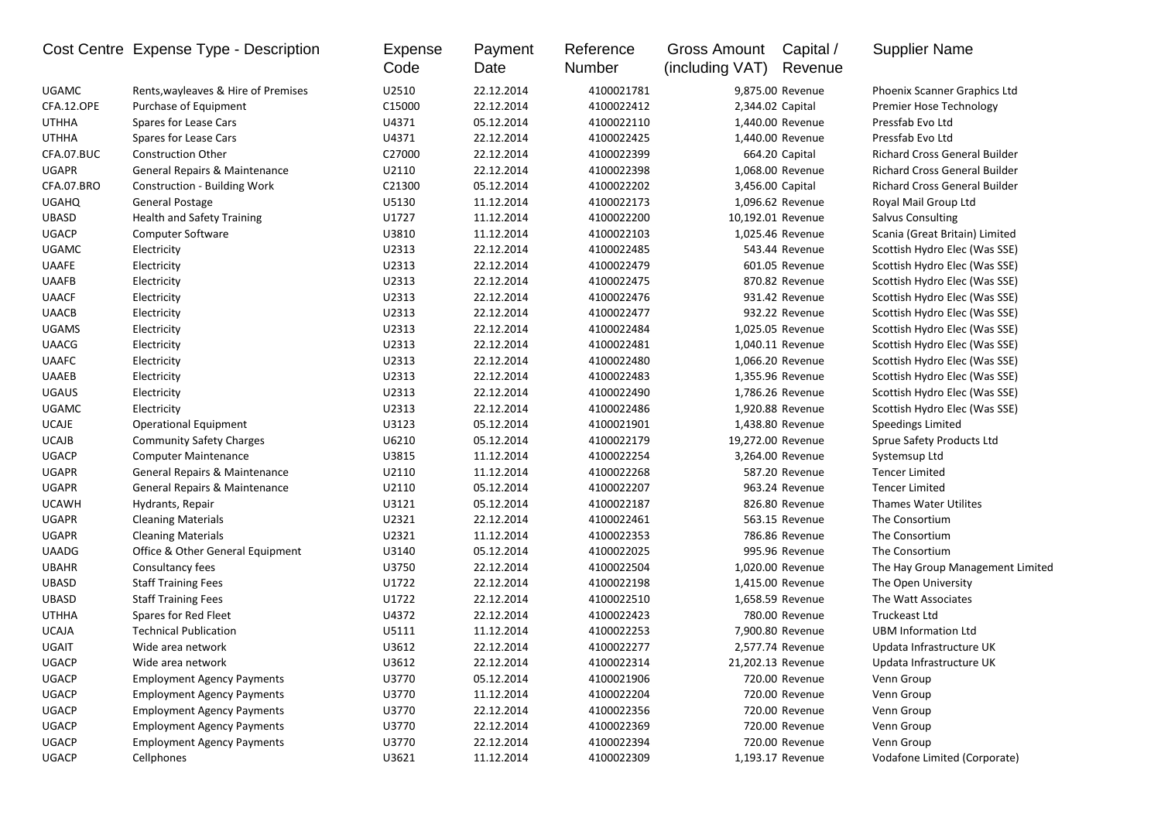|              | Cost Centre Expense Type - Description | Expense<br>Code | Payment<br>Date | Reference<br>Number | Gross Amount<br>(including VAT) | Capital /<br>Revenue | <b>Supplier Name</b>             |
|--------------|----------------------------------------|-----------------|-----------------|---------------------|---------------------------------|----------------------|----------------------------------|
| UGAMC        | Rents, wayleaves & Hire of Premises    | U2510           | 22.12.2014      | 4100021781          |                                 | 9,875.00 Revenue     | Phoenix Scanner Graphics Ltd     |
| CFA.12.OPE   | Purchase of Equipment                  | C15000          | 22.12.2014      | 4100022412          |                                 | 2,344.02 Capital     | Premier Hose Technology          |
| <b>UTHHA</b> | Spares for Lease Cars                  | U4371           | 05.12.2014      | 4100022110          |                                 | 1,440.00 Revenue     | Pressfab Evo Ltd                 |
| UTHHA        | Spares for Lease Cars                  | U4371           | 22.12.2014      | 4100022425          |                                 | 1,440.00 Revenue     | Pressfab Evo Ltd                 |
| CFA.07.BUC   | <b>Construction Other</b>              | C27000          | 22.12.2014      | 4100022399          |                                 | 664.20 Capital       | Richard Cross General Builder    |
| <b>UGAPR</b> | General Repairs & Maintenance          | U2110           | 22.12.2014      | 4100022398          |                                 | 1,068.00 Revenue     | Richard Cross General Builder    |
| CFA.07.BRO   | Construction - Building Work           | C21300          | 05.12.2014      | 4100022202          |                                 | 3,456.00 Capital     | Richard Cross General Builder    |
| <b>UGAHQ</b> | General Postage                        | U5130           | 11.12.2014      | 4100022173          |                                 | 1,096.62 Revenue     | Royal Mail Group Ltd             |
| <b>UBASD</b> | <b>Health and Safety Training</b>      | U1727           | 11.12.2014      | 4100022200          |                                 | 10,192.01 Revenue    | <b>Salvus Consulting</b>         |
| <b>UGACP</b> | Computer Software                      | U3810           | 11.12.2014      | 4100022103          |                                 | 1,025.46 Revenue     | Scania (Great Britain) Limited   |
| UGAMC        | Electricity                            | U2313           | 22.12.2014      | 4100022485          |                                 | 543.44 Revenue       | Scottish Hydro Elec (Was SSE)    |
| <b>UAAFE</b> | Electricity                            | U2313           | 22.12.2014      | 4100022479          |                                 | 601.05 Revenue       | Scottish Hydro Elec (Was SSE)    |
| <b>UAAFB</b> | Electricity                            | U2313           | 22.12.2014      | 4100022475          |                                 | 870.82 Revenue       | Scottish Hydro Elec (Was SSE)    |
| <b>UAACF</b> | Electricity                            | U2313           | 22.12.2014      | 4100022476          |                                 | 931.42 Revenue       | Scottish Hydro Elec (Was SSE)    |
| <b>UAACB</b> | Electricity                            | U2313           | 22.12.2014      | 4100022477          |                                 | 932.22 Revenue       | Scottish Hydro Elec (Was SSE)    |
| <b>UGAMS</b> | Electricity                            | U2313           | 22.12.2014      | 4100022484          |                                 | 1,025.05 Revenue     | Scottish Hydro Elec (Was SSE)    |
| <b>UAACG</b> | Electricity                            | U2313           | 22.12.2014      | 4100022481          |                                 | 1,040.11 Revenue     | Scottish Hydro Elec (Was SSE)    |
| <b>UAAFC</b> | Electricity                            | U2313           | 22.12.2014      | 4100022480          |                                 | 1,066.20 Revenue     | Scottish Hydro Elec (Was SSE)    |
| <b>UAAEB</b> | Electricity                            | U2313           | 22.12.2014      | 4100022483          |                                 | 1,355.96 Revenue     | Scottish Hydro Elec (Was SSE)    |
| <b>UGAUS</b> | Electricity                            | U2313           | 22.12.2014      | 4100022490          |                                 | 1,786.26 Revenue     | Scottish Hydro Elec (Was SSE)    |
| <b>UGAMC</b> | Electricity                            | U2313           | 22.12.2014      | 4100022486          |                                 | 1,920.88 Revenue     | Scottish Hydro Elec (Was SSE)    |
| <b>UCAJE</b> | <b>Operational Equipment</b>           | U3123           | 05.12.2014      | 4100021901          |                                 | 1,438.80 Revenue     | Speedings Limited                |
| <b>UCAJB</b> | <b>Community Safety Charges</b>        | U6210           | 05.12.2014      | 4100022179          |                                 | 19,272.00 Revenue    | Sprue Safety Products Ltd        |
| <b>UGACP</b> | <b>Computer Maintenance</b>            | U3815           | 11.12.2014      | 4100022254          |                                 | 3,264.00 Revenue     | Systemsup Ltd                    |
| <b>UGAPR</b> | General Repairs & Maintenance          | U2110           | 11.12.2014      | 4100022268          |                                 | 587.20 Revenue       | <b>Tencer Limited</b>            |
| <b>UGAPR</b> | General Repairs & Maintenance          | U2110           | 05.12.2014      | 4100022207          |                                 | 963.24 Revenue       | <b>Tencer Limited</b>            |
| <b>UCAWH</b> | Hydrants, Repair                       | U3121           | 05.12.2014      | 4100022187          |                                 | 826.80 Revenue       | Thames Water Utilites            |
| <b>UGAPR</b> | <b>Cleaning Materials</b>              | U2321           | 22.12.2014      | 4100022461          |                                 | 563.15 Revenue       | The Consortium                   |
| <b>UGAPR</b> | <b>Cleaning Materials</b>              | U2321           | 11.12.2014      | 4100022353          |                                 | 786.86 Revenue       | The Consortium                   |
| <b>UAADG</b> | Office & Other General Equipment       | U3140           | 05.12.2014      | 4100022025          |                                 | 995.96 Revenue       | The Consortium                   |
| <b>UBAHR</b> | Consultancy fees                       | U3750           | 22.12.2014      | 4100022504          |                                 | 1,020.00 Revenue     | The Hay Group Management Limited |
| <b>UBASD</b> | <b>Staff Training Fees</b>             | U1722           | 22.12.2014      | 4100022198          |                                 | 1,415.00 Revenue     | The Open University              |
| UBASD        | <b>Staff Training Fees</b>             | U1722           | 22.12.2014      | 4100022510          |                                 | 1,658.59 Revenue     | The Watt Associates              |
| <b>UTHHA</b> | Spares for Red Fleet                   | U4372           | 22.12.2014      | 4100022423          |                                 | 780.00 Revenue       | <b>Truckeast Ltd</b>             |
| <b>UCAJA</b> | <b>Technical Publication</b>           | U5111           | 11.12.2014      | 4100022253          |                                 | 7,900.80 Revenue     | <b>UBM Information Ltd</b>       |
| UGAIT        | Wide area network                      | U3612           | 22.12.2014      | 4100022277          |                                 | 2,577.74 Revenue     | Updata Infrastructure UK         |
| <b>UGACP</b> | Wide area network                      | U3612           | 22.12.2014      | 4100022314          |                                 | 21,202.13 Revenue    | Updata Infrastructure UK         |
| <b>UGACP</b> | <b>Employment Agency Payments</b>      | U3770           | 05.12.2014      | 4100021906          |                                 | 720.00 Revenue       | Venn Group                       |
| UGACP        | <b>Employment Agency Payments</b>      | U3770           | 11.12.2014      | 4100022204          |                                 | 720.00 Revenue       | Venn Group                       |
| <b>UGACP</b> | <b>Employment Agency Payments</b>      | U3770           | 22.12.2014      | 4100022356          |                                 | 720.00 Revenue       | Venn Group                       |
| <b>UGACP</b> | <b>Employment Agency Payments</b>      | U3770           | 22.12.2014      | 4100022369          |                                 | 720.00 Revenue       | Venn Group                       |
| <b>UGACP</b> | <b>Employment Agency Payments</b>      | U3770           | 22.12.2014      | 4100022394          |                                 | 720.00 Revenue       | Venn Group                       |
| <b>UGACP</b> | Cellphones                             | U3621           | 11.12.2014      | 4100022309          |                                 | 1,193.17 Revenue     | Vodafone Limited (Corporate)     |